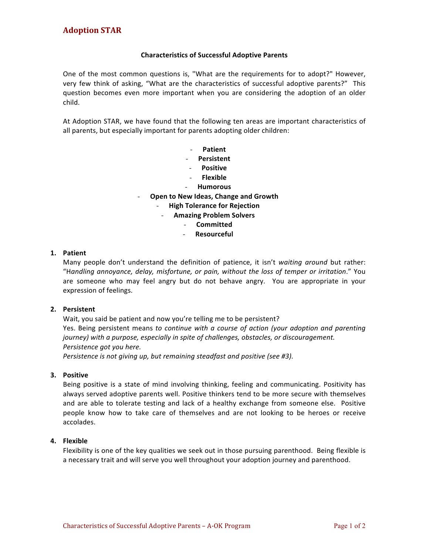# **Characteristics of Successful Adoptive Parents**

One of the most common questions is, "What are the requirements for to adopt?" However, very few think of asking, "What are the characteristics of successful adoptive parents?" This question becomes even more important when you are considering the adoption of an older child.

At Adoption STAR, we have found that the following ten areas are important characteristics of all parents, but especially important for parents adopting older children:

- **Patient**
- **Persistent**
- **Positive**
- **Flexible**
- **Humorous**
- **Open to New Ideas, Change and Growth** 
	- **High Tolerance for Rejection**
		- **Amazing Problem Solvers** 
			- **Committed**
			- **Resourceful**

### **1. Patient**

Many people don't understand the definition of patience, it isn't waiting around but rather: "Handling annoyance, delay, misfortune, or pain, without the loss of temper or irritation." You are someone who may feel angry but do not behave angry. You are appropriate in your expression of feelings.

#### **2. Persistent**

Wait, you said be patient and now you're telling me to be persistent? Yes. Being persistent means to continue with a course of action (your adoption and parenting journey) with a purpose, especially in spite of challenges, obstacles, or discouragement. *Persistence got you here.*

*Persistence is not giving up, but remaining steadfast and positive (see #3).* 

# **3. Positive**

Being positive is a state of mind involving thinking, feeling and communicating. Positivity has always served adoptive parents well. Positive thinkers tend to be more secure with themselves and are able to tolerate testing and lack of a healthy exchange from someone else. Positive people know how to take care of themselves and are not looking to be heroes or receive accolades.

# **4. Flexible**

Flexibility is one of the key qualities we seek out in those pursuing parenthood. Being flexible is a necessary trait and will serve you well throughout your adoption journey and parenthood.